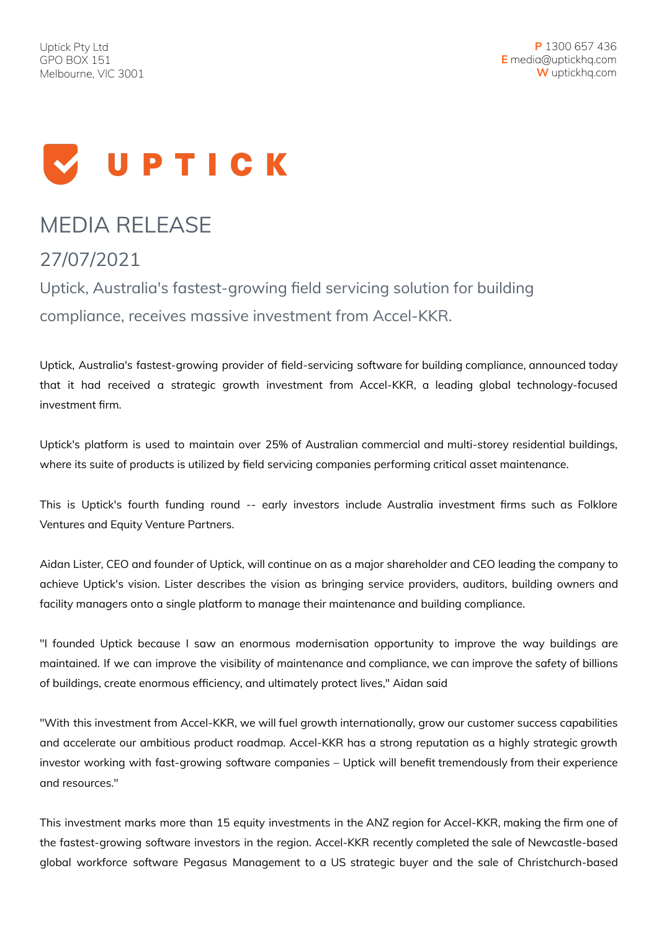

## MEDIA RELEASE

27/07/2021

Uptick, Australia's fastest-growing field servicing solution for building compliance, receives massive investment from Accel-KKR.

Uptick, Australia's fastest-growing provider of field-servicing software for building compliance, announced today that it had received a strategic growth investment from Accel-KKR, a leading global technology-focused investment firm.

Uptick's platform is used to maintain over 25% of Australian commercial and multi-storey residential buildings, where its suite of products is utilized by field servicing companies performing critical asset maintenance.

This is Uptick's fourth funding round -- early investors include Australia investment firms such as Folklore Ventures and Equity Venture Partners.

Aidan Lister, CEO and founder of Uptick, will continue on as a major shareholder and CEO leading the company to achieve Uptick's vision. Lister describes the vision as bringing service providers, auditors, building owners and facility managers onto a single platform to manage their maintenance and building compliance.

"I founded Uptick because I saw an enormous modernisation opportunity to improve the way buildings are maintained. If we can improve the visibility of maintenance and compliance, we can improve the safety of billions of buildings, create enormous efficiency, and ultimately protect lives," Aidan said

"With this investment from Accel-KKR, we will fuel growth internationally, grow our customer success capabilities and accelerate our ambitious product roadmap. Accel-KKR has a strong reputation as a highly strategic growth investor working with fast-growing software companies – Uptick will benefit tremendously from their experience and resources."

This investment marks more than 15 equity investments in the ANZ region for Accel-KKR, making the firm one of the fastest-growing software investors in the region. Accel-KKR recently completed the sale of Newcastle-based global workforce software Pegasus Management to a US strategic buyer and the sale of Christchurch-based